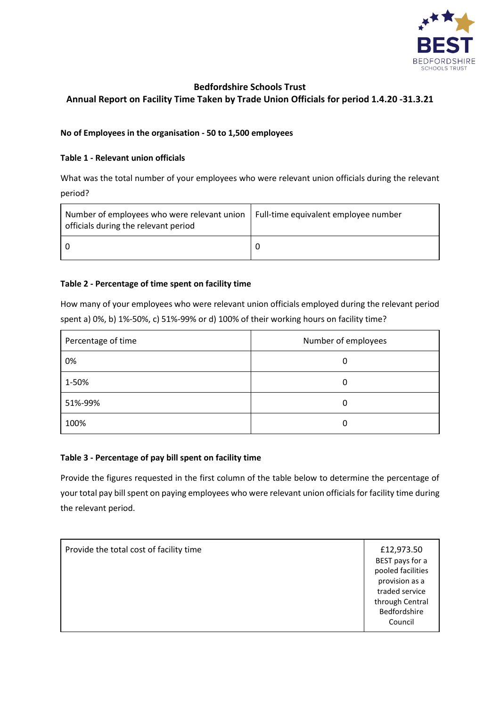

# **Bedfordshire Schools Trust Annual Report on Facility Time Taken by Trade Union Officials for period 1.4.20 -31.3.21**

## **No of Employees in the organisation - 50 to 1,500 employees**

#### **Table 1 - Relevant union officials**

What was the total number of your employees who were relevant union officials during the relevant period?

| Number of employees who were relevant union   Full-time equivalent employee number<br>officials during the relevant period |  |
|----------------------------------------------------------------------------------------------------------------------------|--|
|                                                                                                                            |  |

#### **Table 2 - Percentage of time spent on facility time**

How many of your employees who were relevant union officials employed during the relevant period spent a) 0%, b) 1%-50%, c) 51%-99% or d) 100% of their working hours on facility time?

| Percentage of time | Number of employees |
|--------------------|---------------------|
| 0%                 | 0                   |
| 1-50%              | 0                   |
| 51%-99%            | 0                   |
| 100%               | 0                   |

### **Table 3 - Percentage of pay bill spent on facility time**

Provide the figures requested in the first column of the table below to determine the percentage of your total pay bill spent on paying employees who were relevant union officials for facility time during the relevant period.

| Provide the total cost of facility time | £12,973.50<br>BEST pays for a<br>pooled facilities<br>provision as a<br>traded service |
|-----------------------------------------|----------------------------------------------------------------------------------------|
|                                         | through Central<br>Bedfordshire                                                        |
|                                         | Council                                                                                |